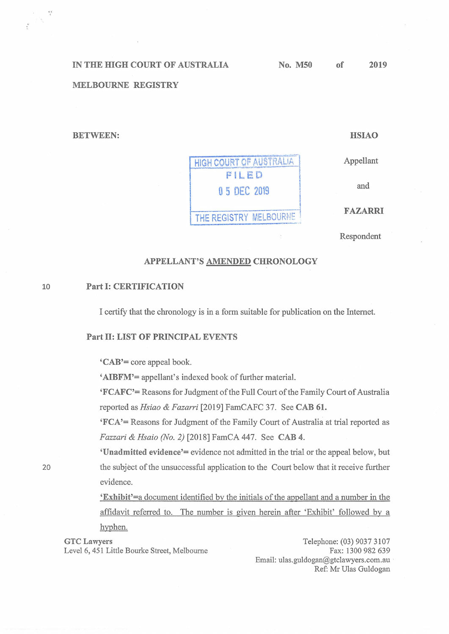IN THE HIGH COURT OF AUSTRALIA

## **MELBOURNE REGISTRY**

**BETWEEN:** 

 $48$  $\mathcal{S}^{(1)}$ 

**HSIAO** 

Appellant

and

**FAZARRI** 

Respondent

## APPELLANT'S AMENDED CHRONOLOGY

HIGH COURT OF AUSTRALIA

FILED

0 5 DEC 2019

THE REGISTRY MELBOURNE

## **Part I: CERTIFICATION** 10

I certify that the chronology is in a form suitable for publication on the Internet.

## **Part II: LIST OF PRINCIPAL EVENTS**

'CAB'= core appeal book.

'AIBFM'= appellant's indexed book of further material.

'FCAFC'= Reasons for Judgment of the Full Court of the Family Court of Australia reported as Hsiao & Fazarri [2019] FamCAFC 37. See CAB 61.

'FCA'= Reasons for Judgment of the Family Court of Australia at trial reported as Fazzari & Hsaio (No. 2) [2018] FamCA 447. See CAB 4.

'Unadmitted evidence'= evidence not admitted in the trial or the appeal below, but the subject of the unsuccessful application to the Court below that it receive further evidence.

'Exhibit'=a document identified by the initials of the appellant and a number in the affidavit referred to. The number is given herein after 'Exhibit' followed by a hyphen.

**GTC Lawvers** Level 6, 451 Little Bourke Street, Melbourne

Telephone: (03) 9037 3107 Fax: 1300 982 639 Email: ulas.guldogan@gtclawyers.com.au Ref: Mr Ulas Guldogan

20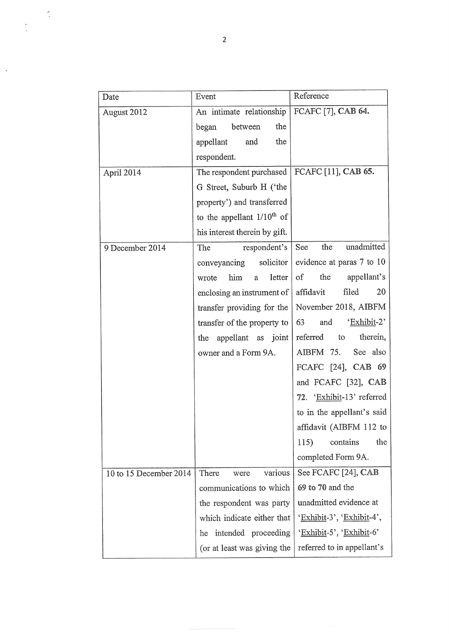| Date                   | Event                           | Reference                  |
|------------------------|---------------------------------|----------------------------|
| August 2012            | An intimate relationship        | FCAFC [7], CAB 64.         |
|                        | between<br>the<br>began         |                            |
|                        | the<br>appellant<br>and         |                            |
|                        | respondent.                     |                            |
| April 2014             | The respondent purchased        | FCAFC [11], CAB 65.        |
|                        | G Street, Suburb H ('the        |                            |
|                        | property') and transferred      |                            |
|                        | to the appellant $1/10^{th}$ of |                            |
|                        | his interest therein by gift.   |                            |
| 9 December 2014        | respondent's<br>The             | unadmitted<br>See<br>the   |
|                        | solicitor<br>conveyancing       | evidence at paras 7 to 10  |
|                        | letter<br>him<br>wrote<br>a     | of<br>the<br>appellant's   |
|                        | enclosing an instrument of      | filed<br>20<br>affidavit   |
|                        | transfer providing for the      | November 2018, AIBFM       |
|                        | transfer of the property to     | 'Exhibit-2'<br>63<br>and   |
|                        | the appellant as joint          | referred<br>therein,<br>to |
|                        | owner and a Form 9A.            | AIBFM 75.<br>See also      |
|                        |                                 | FCAFC [24], CAB 69         |
|                        |                                 | and FCAFC [32], CAB        |
|                        |                                 | 72. 'Exhibit-13' referred  |
|                        |                                 | to in the appellant's said |
|                        |                                 | affidavit (AIBFM 112 to    |
|                        |                                 | 115)<br>contains<br>the    |
|                        |                                 | completed Form 9A.         |
| 10 to 15 December 2014 | various<br>There<br>were        | See FCAFC [24], CAB        |
|                        | communications to which         | 69 to 70 and the           |
|                        | the respondent was party        | unadmitted evidence at     |
|                        | which indicate either that      | 'Exhibit-3', 'Exhibit-4',  |
|                        | intended proceeding<br>he       | 'Exhibit-5', 'Exhibit-6'   |
|                        | (or at least was giving the     | referred to in appellant's |

Â,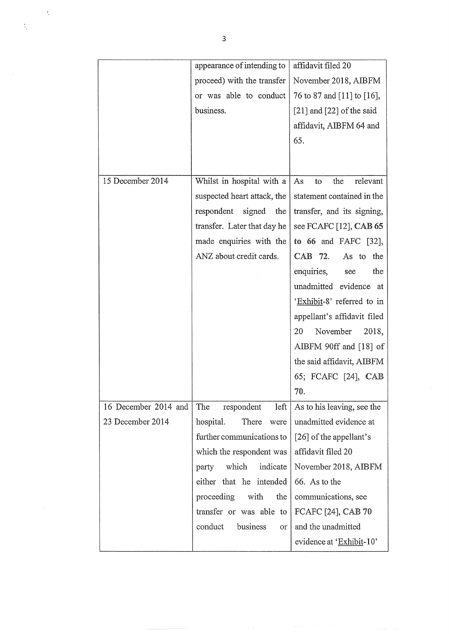|                      | appearance of intending to  | affidavit filed 20            |
|----------------------|-----------------------------|-------------------------------|
|                      | proceed) with the transfer  | November 2018, AIBFM          |
|                      | or was able to conduct      | 76 to 87 and [11] to [16],    |
|                      | business.                   | $[21]$ and $[22]$ of the said |
|                      |                             | affidavit, AIBFM 64 and       |
|                      |                             | 65.                           |
|                      |                             |                               |
|                      |                             |                               |
| 15 December 2014     | Whilst in hospital with a   | the<br>relevant<br>As<br>to   |
|                      | suspected heart attack, the | statement contained in the    |
|                      | respondent<br>signed<br>the | transfer, and its signing,    |
|                      | transfer. Later that day he | see FCAFC [12], CAB 65        |
|                      | made enquiries with the     | to 66 and FAFC [32],          |
|                      | ANZ about credit cards.     | CAB 72.<br>As to<br>the       |
|                      |                             | enquiries,<br>the<br>see      |
|                      |                             | unadmitted evidence at        |
|                      |                             | 'Exhibit-8' referred to in    |
|                      |                             | appellant's affidavit filed   |
|                      |                             | November<br>20<br>2018,       |
|                      |                             | AIBFM 90ff and [18] of        |
|                      |                             | the said affidavit, AIBFM     |
|                      |                             | 65; FCAFC [24], CAB           |
|                      |                             | 70.                           |
| 16 December 2014 and | The<br>left<br>respondent   | As to his leaving, see the    |
| 23 December 2014     | hospital.<br>There<br>were  | unadmitted evidence at        |
|                      | further communications to   | [26] of the appellant's       |
|                      | which the respondent was    | affidavit filed 20            |
|                      | which<br>indicate<br>party  | November 2018, AIBFM          |
|                      | either that he intended     | 66. As to the                 |
|                      | proceeding<br>with<br>the   | communications, see           |
|                      | transfer or was able to     | FCAFC [24], CAB 70            |
|                      | conduct<br>business<br>or   | and the unadmitted            |
|                      |                             | evidence at 'Exhibit-10'      |

,

t,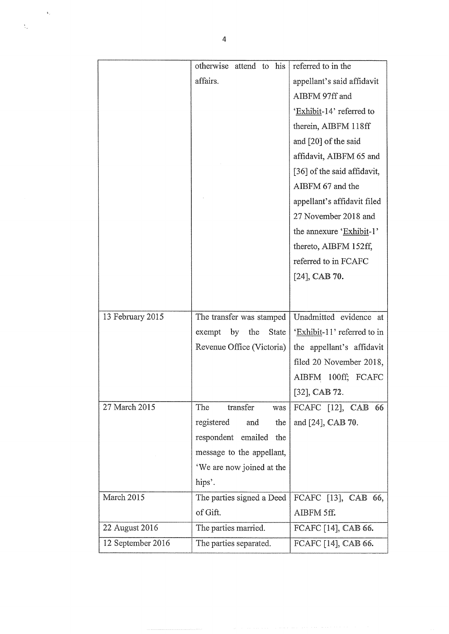|                  | attend to<br>his<br>otherwise | referred to in the          |
|------------------|-------------------------------|-----------------------------|
|                  | affairs.                      | appellant's said affidavit  |
|                  |                               | AIBFM 97ff and              |
|                  |                               | 'Exhibit-14' referred to    |
|                  |                               | therein, AIBFM 118ff        |
|                  |                               | and [20] of the said        |
|                  |                               | affidavit, AIBFM 65 and     |
|                  |                               | [36] of the said affidavit, |
|                  |                               | AIBFM 67 and the            |
|                  |                               | appellant's affidavit filed |
|                  |                               | 27 November 2018 and        |
|                  |                               | the annexure 'Exhibit-1'    |
|                  |                               | thereto, AIBFM 152ff,       |
|                  |                               | referred to in FCAFC        |
|                  |                               | $[24]$ , CAB 70.            |
|                  |                               |                             |
|                  |                               |                             |
|                  |                               |                             |
| 13 February 2015 | The transfer was stamped      | Unadmitted evidence at      |
|                  | exempt<br>by<br>the<br>State  | 'Exhibit-11' referred to in |
|                  | Revenue Office (Victoria)     | the appellant's affidavit   |
|                  |                               | filed 20 November 2018,     |
|                  |                               | AIBFM 100ff; FCAFC          |
|                  |                               | $[32]$ , CAB 72.            |
| 27 March 2015    | The<br>transfer<br>was        | FCAFC [12], CAB<br>66       |
|                  | registered<br>and<br>the      | and [24], CAB 70.           |
|                  | respondent emailed<br>the     |                             |
|                  | message to the appellant,     |                             |
|                  | 'We are now joined at the     |                             |
|                  | hips'.                        |                             |
| March 2015       | The parties signed a Deed     | FCAFC [13], CAB 66,         |
|                  | of Gift.                      | AIBFM 5ff.                  |
| 22 August 2016   | The parties married.          | FCAFC [14], CAB 66.         |

.

 $\tilde{\xi}_s$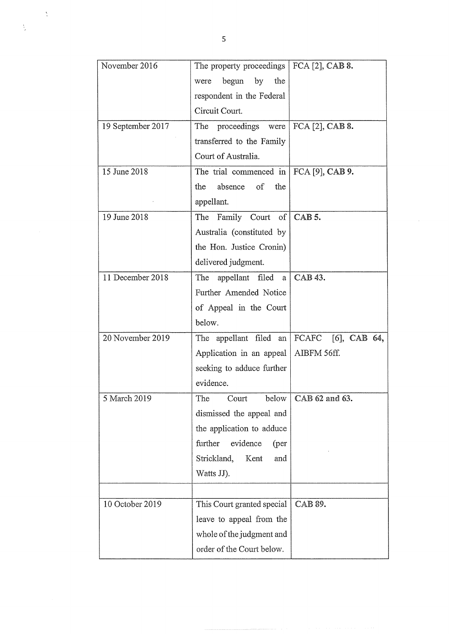| November 2016     | The property proceedings $ $ FCA [2], CAB 8. |                              |
|-------------------|----------------------------------------------|------------------------------|
|                   | begun by<br>the<br>were                      |                              |
|                   | respondent in the Federal                    |                              |
|                   | Circuit Court.                               |                              |
| 19 September 2017 | The<br>proceedings were                      | FCA [2], CAB 8.              |
|                   | transferred to the Family                    |                              |
|                   | Court of Australia.                          |                              |
| 15 June 2018      | The trial commenced in $  FCA [9]$ , CAB 9.  |                              |
|                   | of<br>absence<br>the<br>the                  |                              |
|                   | appellant.                                   |                              |
| 19 June 2018      | The Family Court of                          | CAB <sub>5</sub> .           |
|                   | Australia (constituted by                    |                              |
|                   | the Hon. Justice Cronin)                     |                              |
|                   | delivered judgment.                          |                              |
| 11 December 2018  | appellant filed a<br>The                     | CAB 43.                      |
|                   | Further Amended Notice                       |                              |
|                   | of Appeal in the Court                       |                              |
|                   | below.                                       |                              |
| 20 November 2019  | The appellant filed an                       | FCAFC [6], CAB 64,           |
|                   | Application in an appeal   AIBFM 56ff.       |                              |
|                   | seeking to adduce further                    |                              |
|                   | evidence.                                    |                              |
| 5 March 2019      | The Court                                    | below $\vert$ CAB 62 and 63. |
|                   | dismissed the appeal and                     |                              |
|                   | the application to adduce                    |                              |
|                   | further<br>evidence<br>(per                  |                              |
|                   | Strickland,<br>Kent<br>and                   |                              |
|                   | Watts JJ).                                   |                              |
|                   |                                              |                              |
| 10 October 2019   | This Court granted special                   | CAB 89.                      |
|                   | leave to appeal from the                     |                              |
|                   | whole of the judgment and                    |                              |
|                   | order of the Court below.                    |                              |

,

 $\frac{1}{2}$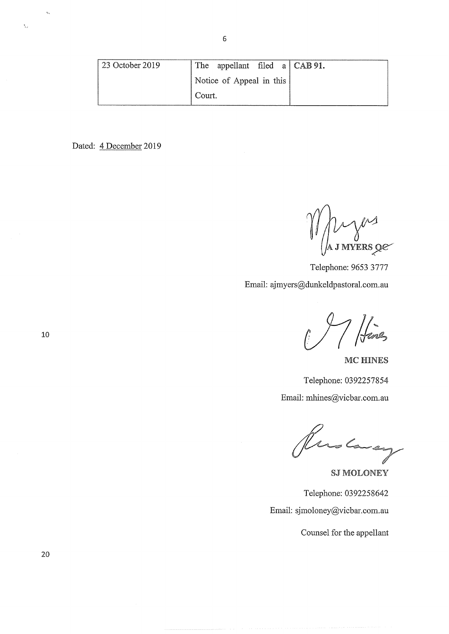| 23 October 2019 | The appellant filed $a   CAB 91$ . |  |
|-----------------|------------------------------------|--|
|                 | Notice of Appeal in this           |  |
|                 | Court.                             |  |

Dated: 4 December 2019

 $\ell$  $\mu$  j myers q $e^-$ 

Telephone: 9653 3777 Email: ajmyers@dunkeldpastoral.com.au

|<br>| ferez

MC HINES Telephone: 0392257854

Email: mhines@vicbar.com.au

Ruslaug

SJ MOLONEY

Telephone: 0392258642 Email: sjmoloney@vicbar. comau

Counsel for the appellant

10

 $\bar{a}_{\bar{k}\bar{k}}$ 

 $\tilde{\gamma}_{12}$